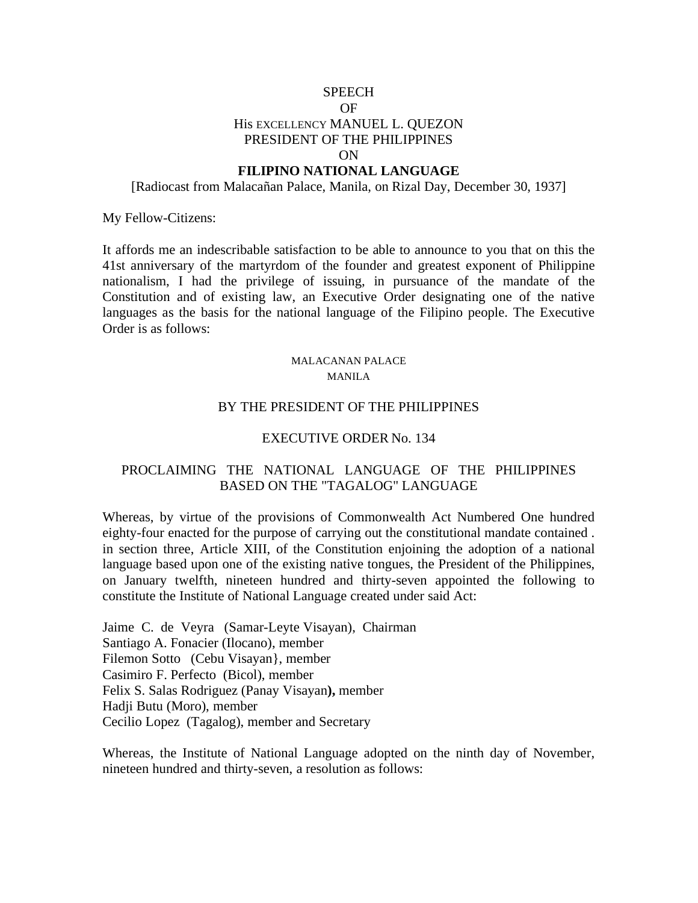# **SPEECH** OF His EXCELLENCY MANUEL L. QUEZON PRESIDENT OF THE PHILIPPINES ON

## **FILIPINO NATIONAL LANGUAGE**

[Radiocast from Malacañan Palace, Manila, on Rizal Day, December 30, 1937]

My Fellow-Citizens:

It affords me an indescribable satisfaction to be able to announce to you that on this the 41st anniversary of the martyrdom of the founder and greatest exponent of Philippine nationalism, I had the privilege of issuing, in pursuance of the mandate of the Constitution and of existing law, an Executive Order designating one of the native languages as the basis for the national language of the Filipino people. The Executive Order is as follows:

#### MALACANAN PALACE MANILA

#### BY THE PRESIDENT OF THE PHILIPPINES

### EXECUTIVE ORDER No. 134

### PROCLAIMING THE NATIONAL LANGUAGE OF THE PHILIPPINES BASED ON THE "TAGALOG" LANGUAGE

Whereas, by virtue of the provisions of Commonwealth Act Numbered One hundred eighty-four enacted for the purpose of carrying out the constitutional mandate contained . in section three, Article XIII, of the Constitution enjoining the adoption of a national language based upon one of the existing native tongues, the President of the Philippines, on January twelfth, nineteen hundred and thirty-seven appointed the following to constitute the Institute of National Language created under said Act:

Jaime C. de Veyra (Samar-Leyte Visayan), Chairman Santiago A. Fonacier (Ilocano), member Filemon Sotto (Cebu Visayan}, member Casimiro F. Perfecto (Bicol), member Felix S. Salas Rodriguez (Panay Visayan**),** member Hadji Butu (Moro), member Cecilio Lopez (Tagalog), member and Secretary

Whereas, the Institute of National Language adopted on the ninth day of November, nineteen hundred and thirty-seven, a resolution as follows: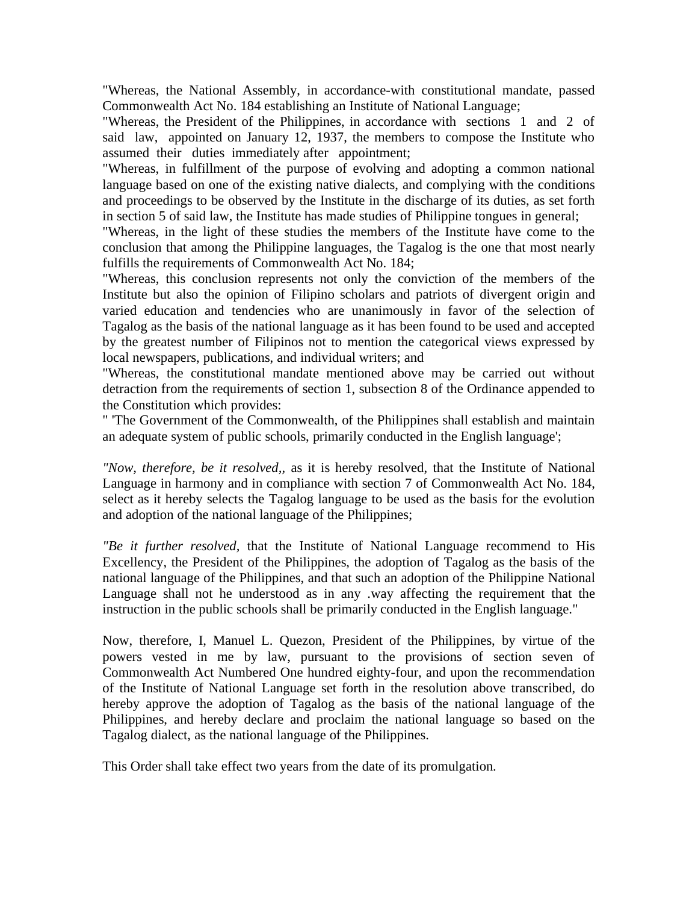"Whereas, the National Assembly, in accordance-with constitutional mandate, passed Commonwealth Act No. 184 establishing an Institute of National Language;

"Whereas, the President of the Philippines, in accordance with sections 1 and 2 of said law, appointed on January 12, 1937, the members to compose the Institute who assumed their duties immediately after appointment;

"Whereas, in fulfillment of the purpose of evolving and adopting a common national language based on one of the existing native dialects, and complying with the conditions and proceedings to be observed by the Institute in the discharge of its duties, as set forth in section 5 of said law, the Institute has made studies of Philippine tongues in general;

"Whereas, in the light of these studies the members of the Institute have come to the conclusion that among the Philippine languages, the Tagalog is the one that most nearly fulfills the requirements of Commonwealth Act No. 184;

"Whereas, this conclusion represents not only the conviction of the members of the Institute but also the opinion of Filipino scholars and patriots of divergent origin and varied education and tendencies who are unanimously in favor of the selection of Tagalog as the basis of the national language as it has been found to be used and accepted by the greatest number of Filipinos not to mention the categorical views expressed by local newspapers, publications, and individual writers; and

"Whereas, the constitutional mandate mentioned above may be carried out without detraction from the requirements of section 1, subsection 8 of the Ordinance appended to the Constitution which provides:

" 'The Government of the Commonwealth, of the Philippines shall establish and maintain an adequate system of public schools, primarily conducted in the English language';

*"Now, therefore, be it resolved,,* as it is hereby resolved, that the Institute of National Language in harmony and in compliance with section 7 of Commonwealth Act No. 184, select as it hereby selects the Tagalog language to be used as the basis for the evolution and adoption of the national language of the Philippines;

*"Be it further resolved,* that the Institute of National Language recommend to His Excellency, the President of the Philippines, the adoption of Tagalog as the basis of the national language of the Philippines, and that such an adoption of the Philippine National Language shall not he understood as in any .way affecting the requirement that the instruction in the public schools shall be primarily conducted in the English language."

Now, therefore, I, Manuel L. Quezon, President of the Philippines, by virtue of the powers vested in me by law, pursuant to the provisions of section seven of Commonwealth Act Numbered One hundred eighty-four, and upon the recommendation of the Institute of National Language set forth in the resolution above transcribed, do hereby approve the adoption of Tagalog as the basis of the national language of the Philippines, and hereby declare and proclaim the national language so based on the Tagalog dialect, as the national language of the Philippines.

This Order shall take effect two years from the date of its promulgation.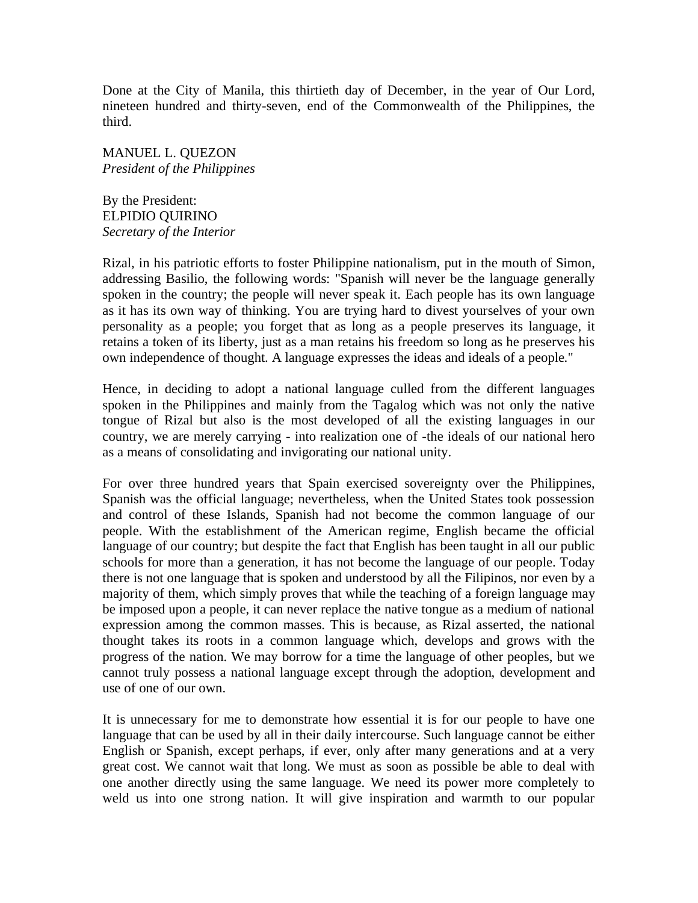Done at the City of Manila, this thirtieth day of December, in the year of Our Lord, nineteen hundred and thirty-seven, end of the Commonwealth of the Philippines, the third.

MANUEL L. QUEZON *President of the Philippines*

By the President: ELPIDIO QUIRINO *Secretary of the Interior* 

Rizal, in his patriotic efforts to foster Philippine nationalism, put in the mouth of Simon, addressing Basilio, the following words: "Spanish will never be the language generally spoken in the country; the people will never speak it. Each people has its own language as it has its own way of thinking. You are trying hard to divest yourselves of your own personality as a people; you forget that as long as a people preserves its language, it retains a token of its liberty, just as a man retains his freedom so long as he preserves his own independence of thought. A language expresses the ideas and ideals of a people."

Hence, in deciding to adopt a national language culled from the different languages spoken in the Philippines and mainly from the Tagalog which was not only the native tongue of Rizal but also is the most developed of all the existing languages in our country, we are merely carrying - into realization one of -the ideals of our national hero as a means of consolidating and invigorating our national unity.

For over three hundred years that Spain exercised sovereignty over the Philippines, Spanish was the official language; nevertheless, when the United States took possession and control of these Islands, Spanish had not become the common language of our people. With the establishment of the American regime, English became the official language of our country; but despite the fact that English has been taught in all our public schools for more than a generation, it has not become the language of our people. Today there is not one language that is spoken and understood by all the Filipinos, nor even by a majority of them, which simply proves that while the teaching of a foreign language may be imposed upon a people, it can never replace the native tongue as a medium of national expression among the common masses. This is because, as Rizal asserted, the national thought takes its roots in a common language which, develops and grows with the progress of the nation. We may borrow for a time the language of other peoples, but we cannot truly possess a national language except through the adoption, development and use of one of our own.

It is unnecessary for me to demonstrate how essential it is for our people to have one language that can be used by all in their daily intercourse. Such language cannot be either English or Spanish, except perhaps, if ever, only after many generations and at a very great cost. We cannot wait that long. We must as soon as possible be able to deal with one another directly using the same language. We need its power more completely to weld us into one strong nation. It will give inspiration and warmth to our popular